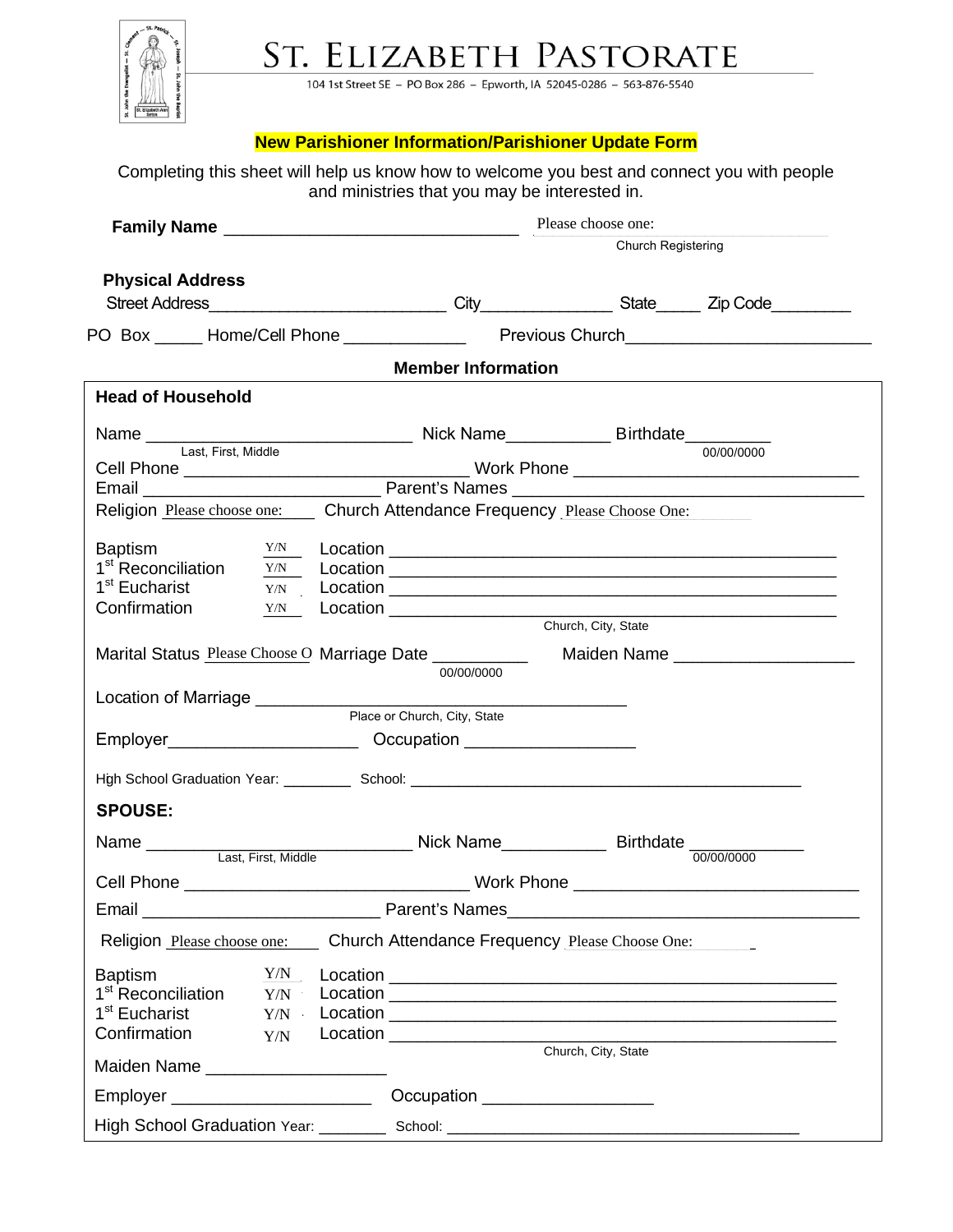

ST. ELIZABETH PASTORATE

104 1st Street SE - PO Box 286 - Epworth, IA 52045-0286 - 563-876-5540

## **New Parishioner Information/Parishioner Update Form**

| Please choose one:<br><b>Church Registering</b>                                               |
|-----------------------------------------------------------------------------------------------|
|                                                                                               |
|                                                                                               |
|                                                                                               |
|                                                                                               |
|                                                                                               |
| <b>Member Information</b>                                                                     |
|                                                                                               |
|                                                                                               |
|                                                                                               |
|                                                                                               |
| Religion Please choose one: Church Attendance Frequency Please Choose One:                    |
|                                                                                               |
|                                                                                               |
|                                                                                               |
|                                                                                               |
|                                                                                               |
| Church, City, State                                                                           |
| Marital Status Please Choose O Marriage Date __________<br>Maiden Name ______________________ |
| 00/00/0000                                                                                    |
|                                                                                               |
|                                                                                               |
|                                                                                               |
|                                                                                               |
|                                                                                               |
|                                                                                               |
|                                                                                               |
|                                                                                               |
|                                                                                               |
|                                                                                               |
| Church Attendance Frequency Please Choose One:                                                |
|                                                                                               |
|                                                                                               |
|                                                                                               |
|                                                                                               |
| Church, City, State                                                                           |
| Occupation ____________________                                                               |
|                                                                                               |
|                                                                                               |